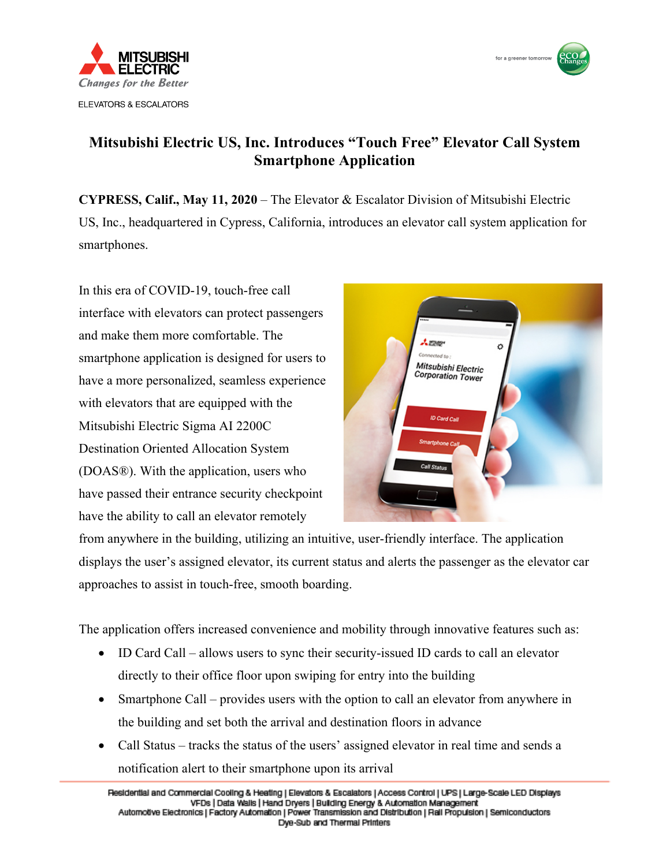



## **Mitsubishi Electric US, Inc. Introduces "Touch Free" Elevator Call System Smartphone Application**

**CYPRESS, Calif., May 11, 2020** – The Elevator & Escalator Division of Mitsubishi Electric US, Inc., headquartered in Cypress, California, introduces an elevator call system application for smartphones.

In this era of COVID-19, touch-free call interface with elevators can protect passengers and make them more comfortable. The smartphone application is designed for users to have a more personalized, seamless experience with elevators that are equipped with the Mitsubishi Electric Sigma AI 2200C Destination Oriented Allocation System (DOAS®). With the application, users who have passed their entrance security checkpoint have the ability to call an elevator remotely



from anywhere in the building, utilizing an intuitive, user-friendly interface. The application displays the user's assigned elevator, its current status and alerts the passenger as the elevator car approaches to assist in touch-free, smooth boarding.

The application offers increased convenience and mobility through innovative features such as:

- ID Card Call allows users to sync their security-issued ID cards to call an elevator directly to their office floor upon swiping for entry into the building
- Smartphone Call provides users with the option to call an elevator from anywhere in the building and set both the arrival and destination floors in advance
- Call Status tracks the status of the users' assigned elevator in real time and sends a notification alert to their smartphone upon its arrival